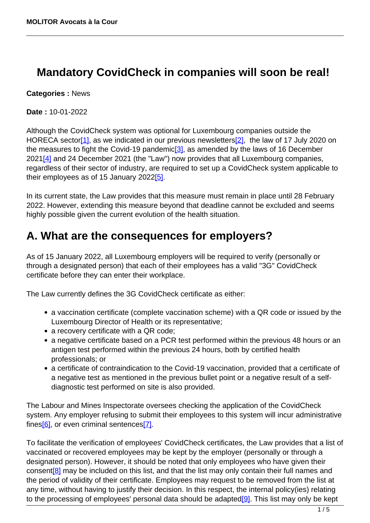## **Mandatory CovidCheck in companies will soon be real!**

**Categories :** News

**Date :** 10-01-2022

Although the CovidCheck system was optional for Luxembourg companies outside the HORECA sector<sup>[1]</sup>, as we indicated in our previous newsletters<sup>[2]</sup>, the law of 17 July 2020 on the measures to fight the Covid-19 pandemic<sup>[3]</sup>, as amended by the laws of 16 December  $2021[4]$  and 24 December 2021 (the "Law") now provides that all Luxembourg companies, regardless of their sector of industry, are required to set up a CovidCheck system applicable to their employees as of 15 January 2022[5].

In its current state, the Law provides that this measure must remain in place until 28 February 2022. However, extending this measure beyond that deadline cannot be excluded and seems highly possible given the current evolution of the health situation.

## **A. What are the consequences for employers?**

As of 15 January 2022, all Luxembourg employers will be required to verify (personally or through a designated person) that each of their employees has a valid "3G" CovidCheck certificate before they can enter their workplace.

The Law currently defines the 3G CovidCheck certificate as either:

- a vaccination certificate (complete vaccination scheme) with a QR code or issued by the Luxembourg Director of Health or its representative;
- a recovery certificate with a QR code;
- a negative certificate based on a PCR test performed within the previous 48 hours or an antigen test performed within the previous 24 hours, both by certified health professionals; or
- a certificate of contraindication to the Covid-19 vaccination, provided that a certificate of a negative test as mentioned in the previous bullet point or a negative result of a selfdiagnostic test performed on site is also provided.

The Labour and Mines Inspectorate oversees checking the application of the CovidCheck system. Any employer refusing to submit their employees to this system will incur administrative fines $[6]$ , or even criminal sentences $[7]$ .

To facilitate the verification of employees' CovidCheck certificates, the Law provides that a list of vaccinated or recovered employees may be kept by the employer (personally or through a designated person). However, it should be noted that only employees who have given their consent<sup>[8]</sup> may be included on this list, and that the list may only contain their full names and the period of validity of their certificate. Employees may request to be removed from the list at any time, without having to justify their decision. In this respect, the internal policy(ies) relating to the processing of employees' personal data should be adapted $[9]$ . This list may only be kept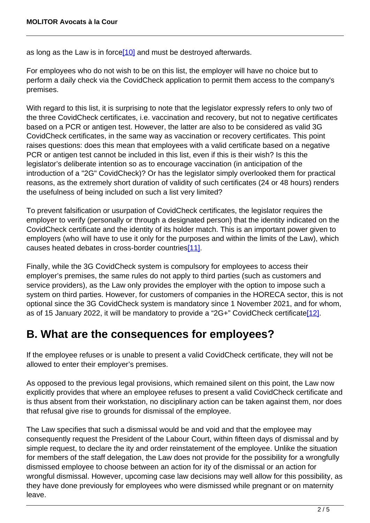as long as the Law is in force $[10]$  and must be destroyed afterwards.

For employees who do not wish to be on this list, the employer will have no choice but to perform a daily check via the CovidCheck application to permit them access to the company's premises.

With regard to this list, it is surprising to note that the legislator expressly refers to only two of the three CovidCheck certificates, i.e. vaccination and recovery, but not to negative certificates based on a PCR or antigen test. However, the latter are also to be considered as valid 3G CovidCheck certificates, in the same way as vaccination or recovery certificates. This point raises questions: does this mean that employees with a valid certificate based on a negative PCR or antigen test cannot be included in this list, even if this is their wish? Is this the legislator's deliberate intention so as to encourage vaccination (in anticipation of the introduction of a "2G" CovidCheck)? Or has the legislator simply overlooked them for practical reasons, as the extremely short duration of validity of such certificates (24 or 48 hours) renders the usefulness of being included on such a list very limited?

To prevent falsification or usurpation of CovidCheck certificates, the legislator requires the employer to verify (personally or through a designated person) that the identity indicated on the CovidCheck certificate and the identity of its holder match. This is an important power given to employers (who will have to use it only for the purposes and within the limits of the Law), which causes heated debates in cross-border countries<sup>[11]</sup>.

Finally, while the 3G CovidCheck system is compulsory for employees to access their employer's premises, the same rules do not apply to third parties (such as customers and service providers), as the Law only provides the employer with the option to impose such a system on third parties. However, for customers of companies in the HORECA sector, this is not optional since the 3G CovidCheck system is mandatory since 1 November 2021, and for whom, as of 15 January 2022, it will be mandatory to provide a "2G+" CovidCheck certificate[12].

## **B. What are the consequences for employees?**

If the employee refuses or is unable to present a valid CovidCheck certificate, they will not be allowed to enter their employer's premises.

As opposed to the previous legal provisions, which remained silent on this point, the Law now explicitly provides that where an employee refuses to present a valid CovidCheck certificate and is thus absent from their workstation, no disciplinary action can be taken against them, nor does that refusal give rise to grounds for dismissal of the employee.

The Law specifies that such a dismissal would be and void and that the employee may consequently request the President of the Labour Court, within fifteen days of dismissal and by simple request, to declare the ity and order reinstatement of the employee. Unlike the situation for members of the staff delegation, the Law does not provide for the possibility for a wrongfully dismissed employee to choose between an action for ity of the dismissal or an action for wrongful dismissal. However, upcoming case law decisions may well allow for this possibility, as they have done previously for employees who were dismissed while pregnant or on maternity leave.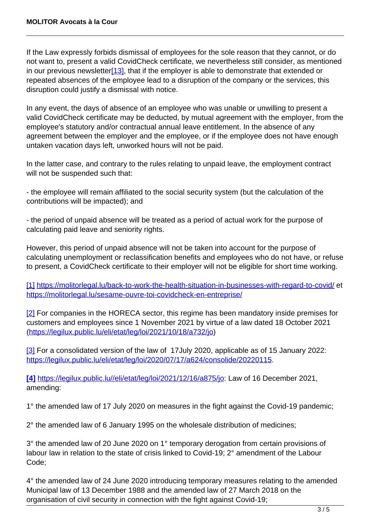If the Law expressly forbids dismissal of employees for the sole reason that they cannot, or do not want to, present a valid CovidCheck certificate, we nevertheless still consider, as mentioned in our previous newsletter $[13]$ , that if the employer is able to demonstrate that extended or repeated absences of the employee lead to a disruption of the company or the services, this disruption could justify a dismissal with notice.

In any event, the days of absence of an employee who was unable or unwilling to present a valid CovidCheck certificate may be deducted, by mutual agreement with the employer, from the employee's statutory and/or contractual annual leave entitlement. In the absence of any agreement between the employer and the employee, or if the employee does not have enough untaken vacation days left, unworked hours will not be paid.

In the latter case, and contrary to the rules relating to unpaid leave, the employment contract will not be suspended such that:

- the employee will remain affiliated to the social security system (but the calculation of the contributions will be impacted); and

- the period of unpaid absence will be treated as a period of actual work for the purpose of calculating paid leave and seniority rights.

However, this period of unpaid absence will not be taken into account for the purpose of calculating unemployment or reclassification benefits and employees who do not have, or refuse to present, a CovidCheck certificate to their employer will not be eligible for short time working.

[1] <https://molitorlegal.lu/back-to-work-the-health-situation-in-businesses-with-regard-to-covid/>et <https://molitorlegal.lu/sesame-ouvre-toi-covidcheck-en-entreprise/>

[2] For companies in the HORECA sector, this regime has been mandatory inside premises for customers and employees since 1 November 2021 by virtue of a law dated 18 October 2021 (<https://legilux.public.lu/eli/etat/leg/loi/2021/10/18/a732/jo>)

[3] For a consolidated version of the law of 17July 2020, applicable as of 15 January 2022: <https://legilux.public.lu/eli/etat/leg/loi/2020/07/17/a624/consolide/20220115>.

**[4]** [https://legilux.public.lu//eli/etat/leg/loi/2021/12/16/a875/jo:](https://legilux.public.lu/eli/etat/leg/loi/2021/12/16/a875/jo) Law of 16 December 2021, amending:

1° the amended law of 17 July 2020 on measures in the fight against the Covid-19 pandemic;

2° the amended law of 6 January 1995 on the wholesale distribution of medicines;

3° the amended law of 20 June 2020 on 1° temporary derogation from certain provisions of labour law in relation to the state of crisis linked to Covid-19; 2° amendment of the Labour Code;

4° the amended law of 24 June 2020 introducing temporary measures relating to the amended Municipal law of 13 December 1988 and the amended law of 27 March 2018 on the organisation of civil security in connection with the fight against Covid-19;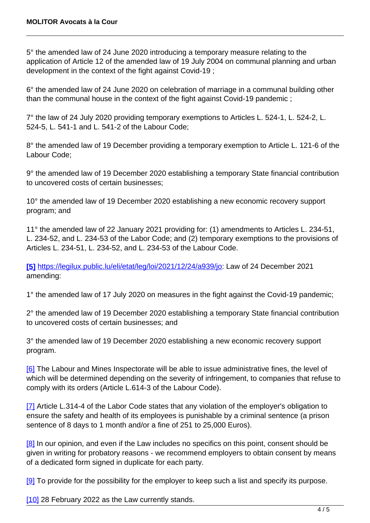5° the amended law of 24 June 2020 introducing a temporary measure relating to the application of Article 12 of the amended law of 19 July 2004 on communal planning and urban development in the context of the fight against Covid-19 ;

6° the amended law of 24 June 2020 on celebration of marriage in a communal building other than the communal house in the context of the fight against Covid-19 pandemic ;

7° the law of 24 July 2020 providing temporary exemptions to Articles L. 524-1, L. 524-2, L. 524-5, L. 541-1 and L. 541-2 of the Labour Code;

8° the amended law of 19 December providing a temporary exemption to Article L. 121-6 of the Labour Code;

9° the amended law of 19 December 2020 establishing a temporary State financial contribution to uncovered costs of certain businesses;

10° the amended law of 19 December 2020 establishing a new economic recovery support program; and

11° the amended law of 22 January 2021 providing for: (1) amendments to Articles L. 234-51, L. 234-52, and L. 234-53 of the Labor Code; and (2) temporary exemptions to the provisions of Articles L. 234-51, L. 234-52, and L. 234-53 of the Labour Code.

**[5]** <https://legilux.public.lu/eli/etat/leg/loi/2021/12/24/a939/jo>: Law of 24 December 2021 amending:

1° the amended law of 17 July 2020 on measures in the fight against the Covid-19 pandemic;

2° the amended law of 19 December 2020 establishing a temporary State financial contribution to uncovered costs of certain businesses; and

3° the amended law of 19 December 2020 establishing a new economic recovery support program.

[6] The Labour and Mines Inspectorate will be able to issue administrative fines, the level of which will be determined depending on the severity of infringement, to companies that refuse to comply with its orders (Article L.614-3 of the Labour Code).

[7] Article L.314-4 of the Labor Code states that any violation of the employer's obligation to ensure the safety and health of its employees is punishable by a criminal sentence (a prison sentence of 8 days to 1 month and/or a fine of 251 to 25,000 Euros).

[8] In our opinion, and even if the Law includes no specifics on this point, consent should be given in writing for probatory reasons - we recommend employers to obtain consent by means of a dedicated form signed in duplicate for each party.

[9] To provide for the possibility for the employer to keep such a list and specify its purpose.

[10] 28 February 2022 as the Law currently stands.